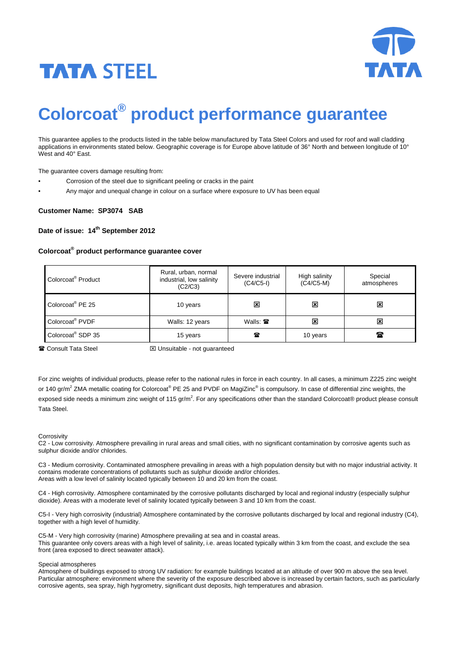



# **Colorcoat® product performance guarantee**

This guarantee applies to the products listed in the table below manufactured by Tata Steel Colors and used for roof and wall cladding applications in environments stated below. Geographic coverage is for Europe above latitude of 36° North and between longitude of 10° West and 40° East.

The guarantee covers damage resulting from:

- Corrosion of the steel due to significant peeling or cracks in the paint
- Any major and unequal change in colour on a surface where exposure to UV has been equal

## **Customer Name: SP3074 SAB**

# Date of issue: 14<sup>th</sup> September 2012

# **Colorcoat® product performance guarantee cover**

| Colorcoat <sup>®</sup> Product | Rural, urban, normal<br>industrial, low salinity<br>(C2/C3) | Severe industrial<br>$(C4/C5-I)$ | High salinity<br>$(C4/C5-M)$ | Special<br>atmospheres    |
|--------------------------------|-------------------------------------------------------------|----------------------------------|------------------------------|---------------------------|
| Colorcoat <sup>®</sup> PE 25   | 10 years                                                    | 図                                | $\boldsymbol{\mathsf{x}}$    | $\boldsymbol{\mathsf{x}}$ |
| Colorcoat <sup>®</sup> PVDF    | Walls: 12 years                                             | Walls: $\mathbf{\mathcal{F}}$    | $\boldsymbol{\mathsf{x}}$    | $\boldsymbol{\mathsf{x}}$ |
| Colorcoat <sup>®</sup> SDP 35  | 15 years                                                    | 魯                                | 10 years                     | ☎                         |

Consult Tata Steel ⌧ Unsuitable - not guaranteed

For zinc weights of individual products, please refer to the national rules in force in each country. In all cases, a minimum Z225 zinc weight or 140 gr/m<sup>2</sup> ZMA metallic coating for Colorcoat® PE 25 and PVDF on MagiZinc® is compulsory. In case of differential zinc weights, the exposed side needs a minimum zinc weight of 115 gr/m<sup>2</sup>. For any specifications other than the standard Colorcoat® product please consult Tata Steel.

#### **Corrosivity**

C2 - Low corrosivity. Atmosphere prevailing in rural areas and small cities, with no significant contamination by corrosive agents such as sulphur dioxide and/or chlorides.

C3 - Medium corrosivity. Contaminated atmosphere prevailing in areas with a high population density but with no major industrial activity. It contains moderate concentrations of pollutants such as sulphur dioxide and/or chlorides. Areas with a low level of salinity located typically between 10 and 20 km from the coast.

C4 - High corrosivity. Atmosphere contaminated by the corrosive pollutants discharged by local and regional industry (especially sulphur dioxide). Areas with a moderate level of salinity located typically between 3 and 10 km from the coast.

C5-I - Very high corrosivity (industrial) Atmosphere contaminated by the corrosive pollutants discharged by local and regional industry (C4), together with a high level of humidity.

C5-M - Very high corrosivity (marine) Atmosphere prevailing at sea and in coastal areas. This guarantee only covers areas with a high level of salinity, i.e. areas located typically within 3 km from the coast, and exclude the sea front (area exposed to direct seawater attack).

#### Special atmospheres

Atmosphere of buildings exposed to strong UV radiation: for example buildings located at an altitude of over 900 m above the sea level. Particular atmosphere: environment where the severity of the exposure described above is increased by certain factors, such as particularly corrosive agents, sea spray, high hygrometry, significant dust deposits, high temperatures and abrasion.